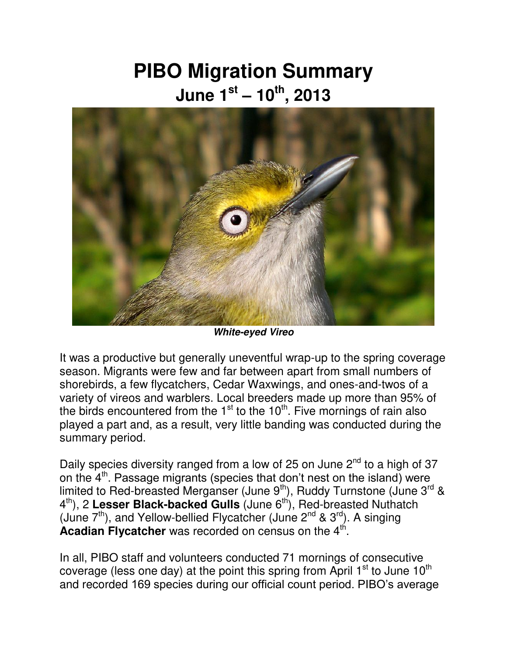## **PIBO Migration Summary June 1st – 10th , 2013**



*White-eyed Vireo* 

It was a productive but generally uneventful wrap-up to the spring coverage season. Migrants were few and far between apart from small numbers of shorebirds, a few flycatchers, Cedar Waxwings, and ones-and-twos of a variety of vireos and warblers. Local breeders made up more than 95% of the birds encountered from the  $1<sup>st</sup>$  to the  $10<sup>th</sup>$ . Five mornings of rain also played a part and, as a result, very little banding was conducted during the summary period.

Daily species diversity ranged from a low of 25 on June  $2<sup>nd</sup>$  to a high of 37 on the  $4<sup>th</sup>$ . Passage migrants (species that don't nest on the island) were limited to Red-breasted Merganser (June 9<sup>th</sup>), Ruddy Turnstone (June 3<sup>rd</sup> & 4<sup>th</sup>), 2 Lesser Black-backed Gulls (June 6<sup>th</sup>), Red-breasted Nuthatch (June  $7<sup>th</sup>$ ), and Yellow-bellied Flycatcher (June  $2<sup>nd</sup>$  &  $3<sup>rd</sup>$ ). A singing Acadian Flycatcher was recorded on census on the 4<sup>th</sup>.

In all, PIBO staff and volunteers conducted 71 mornings of consecutive coverage (less one day) at the point this spring from April  $1^{st}$  to June  $10^{th}$ and recorded 169 species during our official count period. PIBO's average